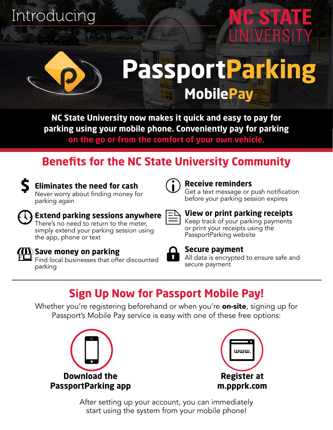## Introducing



# **PassportParking MobilePay**

**CESTATE** 

**NC State University now makes it quick and easy to pay for parking using your mobile phone. Conveniently pay for parking on the go or from the comfort of your own vehicle.**

### **Benefits for the NC State University Community**



### **Eliminates the need for cash**

Never worry about finding money for parking again



### **Receive reminders**

Get a text message or push notification before your parking session expires

### **Extend parking sessions anywhere** There's no need to return to the meter, simply extend your parking session using

### **View or print parking receipts**

Keep track of your parking payments or print your receipts using the PassportParking website

### **Save money on parking**

the app, phone or text

 $\mathsf I$  Find local businesses that offer discounted parking



### **Secure payment**

All data is encrypted to ensure safe and secure payment

### **Sign Up Now for Passport Mobile Pay!**

Whether you're registering beforehand or when you're **on-site**, signing up for Passport's Mobile Pay service is easy with one of these free options:





After setting up your account, you can immediately start using the system from your mobile phone!